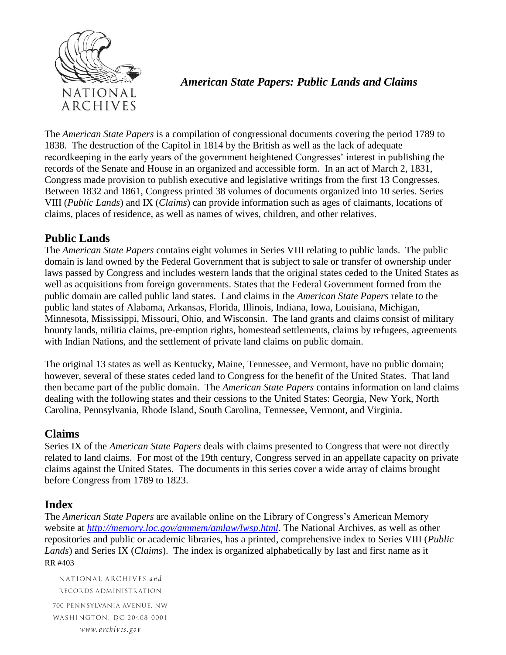

## *American State Papers: Public Lands and Claims*

The *American State Papers* is a compilation of congressional documents covering the period 1789 to 1838. The destruction of the Capitol in 1814 by the British as well as the lack of adequate recordkeeping in the early years of the government heightened Congresses' interest in publishing the records of the Senate and House in an organized and accessible form. In an act of March 2, 1831, Congress made provision to publish executive and legislative writings from the first 13 Congresses. Between 1832 and 1861, Congress printed 38 volumes of documents organized into 10 series. Series VIII (*Public Lands*) and IX (*Claims*) can provide information such as ages of claimants, locations of claims, places of residence, as well as names of wives, children, and other relatives.

## **Public Lands**

The *American State Papers* contains eight volumes in Series VIII relating to public lands. The public domain is land owned by the Federal Government that is subject to sale or transfer of ownership under laws passed by Congress and includes western lands that the original states ceded to the United States as well as acquisitions from foreign governments. States that the Federal Government formed from the public domain are called public land states. Land claims in the *American State Papers* relate to the public land states of Alabama, Arkansas, Florida, Illinois, Indiana, Iowa, Louisiana, Michigan, Minnesota, Mississippi, Missouri, Ohio, and Wisconsin. The land grants and claims consist of military bounty lands, militia claims, pre-emption rights, homestead settlements, claims by refugees, agreements with Indian Nations, and the settlement of private land claims on public domain.

The original 13 states as well as Kentucky, Maine, Tennessee, and Vermont, have no public domain; however, several of these states ceded land to Congress for the benefit of the United States. That land then became part of the public domain. The *American State Papers* contains information on land claims dealing with the following states and their cessions to the United States: Georgia, New York, North Carolina, Pennsylvania, Rhode Island, South Carolina, Tennessee, Vermont, and Virginia.

## **Claims**

Series IX of the *American State Papers* deals with claims presented to Congress that were not directly related to land claims. For most of the 19th century, Congress served in an appellate capacity on private claims against the United States. The documents in this series cover a wide array of claims brought before Congress from 1789 to 1823.

## **Index**

RR #403 The *American State Papers* are available online on the Library of Congress's American Memory website at *<http://memory.loc.gov/ammem/amlaw/lwsp.html>*. The National Archives, as well as other repositories and public or academic libraries, has a printed, comprehensive index to Series VIII (*Public Lands*) and Series IX (*Claims*). The index is organized alphabetically by last and first name as it

NATIONAL ARCHIVES and RECORDS ADMINISTRATION 700 PENNSYLVANIA AVENUE, NW WASHINGTON, DC 20408-0001 www.archives.gov